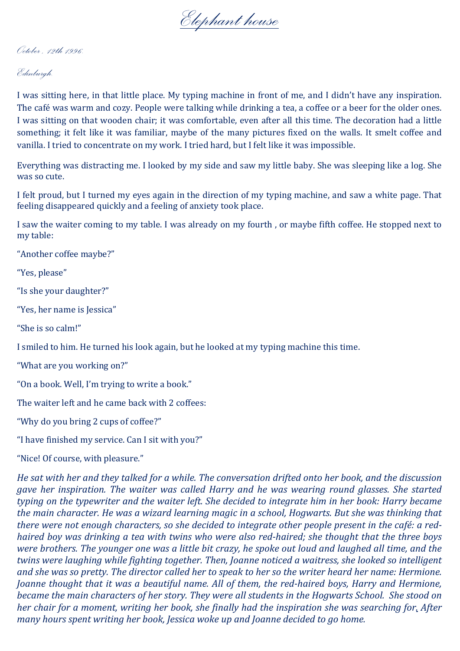*Elephant house*

*October , 12th 1996.* 

## *Edinburgh.*

I was sitting here, in that little place. My typing machine in front of me, and I didn't have any inspiration. The café was warm and cozy. People were talking while drinking a tea, a coffee or a beer for the older ones. I was sitting on that wooden chair; it was comfortable, even after all this time. The decoration had a little something; it felt like it was familiar, maybe of the many pictures fixed on the walls. It smelt coffee and vanilla. I tried to concentrate on my work. I tried hard, but I felt like it was impossible.

Everything was distracting me. I looked by my side and saw my little baby. She was sleeping like a log. She was so cute.

I felt proud, but I turned my eyes again in the direction of my typing machine, and saw a white page. That feeling disappeared quickly and a feeling of anxiety took place.

I saw the waiter coming to my table. I was already on my fourth , or maybe fifth coffee. He stopped next to my table:

"Another coffee maybe?"

"Yes, please"

"Is she your daughter?"

"Yes, her name is Jessica"

"She is so calm!"

I smiled to him. He turned his look again, but he looked at my typing machine this time.

"What are you working on?"

"On a book. Well, I'm trying to write a book."

The waiter left and he came back with 2 coffees:

"Why do you bring 2 cups of coffee?"

"I have finished my service. Can I sit with you?"

"Nice! Of course, with pleasure."

*He sat with her and they talked for a while. The conversation drifted onto her book, and the discussion gave her inspiration. The waiter was called Harry and he was wearing round glasses. She started typing on the typewriter and the waiter left. She decided to integrate him in her book: Harry became the main character. He was a wizard learning magic in a school, Hogwarts. But she was thinking that there were not enough characters, so she decided to integrate other people present in the café: a redhaired boy was drinking a tea with twins who were also red-haired; she thought that the three boys were brothers. The younger one was a little bit crazy, he spoke out loud and laughed all time, and the twins were laughing while fighting together. Then, Joanne noticed a waitress, she looked so intelligent and she was so pretty. The director called her to speak to her so the writer heard her name: Hermione. Joanne thought that it was a beautiful name. All of them, the red-haired boys, Harry and Hermione, became the main characters of her story. They were all students in the Hogwarts School. She stood on her chair for a moment, writing her book, she finally had the inspiration she was searching for. After many hours spent writing her book, Jessica woke up and Joanne decided to go home.*